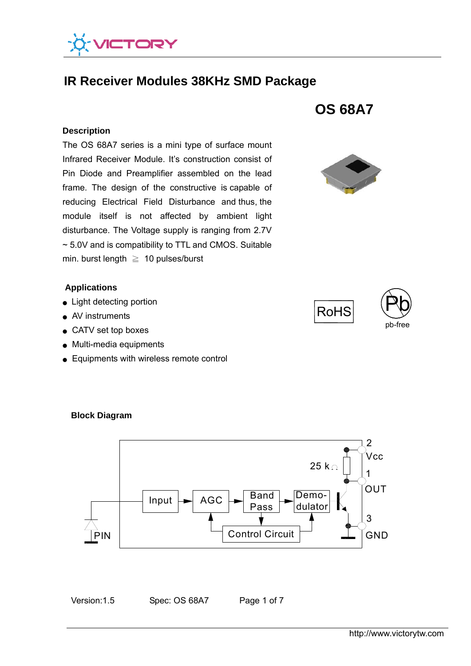

# **IR Receiver Modules 38KHz SMD Package**

#### **Description**

 ~ 5.0V and is compatibility to TTL and CMOS. Suitable The OS 68A7 series is a mini type of surface mount Infrared Receiver Module. It's construction consist of Pin Diode and Preamplifier assembled on the lead frame. The design of the constructive is capable of reducing Electrical Field Disturbance and thus, the module itself is not affected by ambient light disturbance. The Voltage supply is ranging from 2.7V min. burst length  $\geq 10$  pulses/burst

#### **Applications**

- Light detecting portion
- AV instruments
- CATV set top boxes
- Multi-media equipments
- Equipments with wireless remote control



**OS 68A7** 







**Block Diagram** 

Version: 1.5 Spec: OS 68A7 Page 1 of 7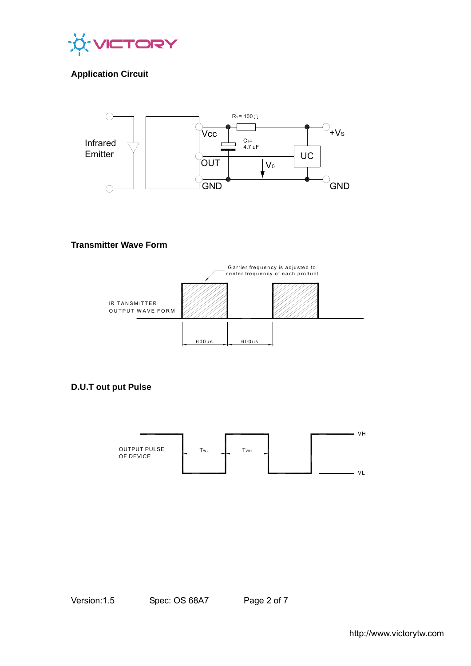

# **Application Circuit**



### **Transmitter Wave Form**



**D.U.T out put Pulse** 



Version: 1.5 Spec: OS 68A7 Page 2 of 7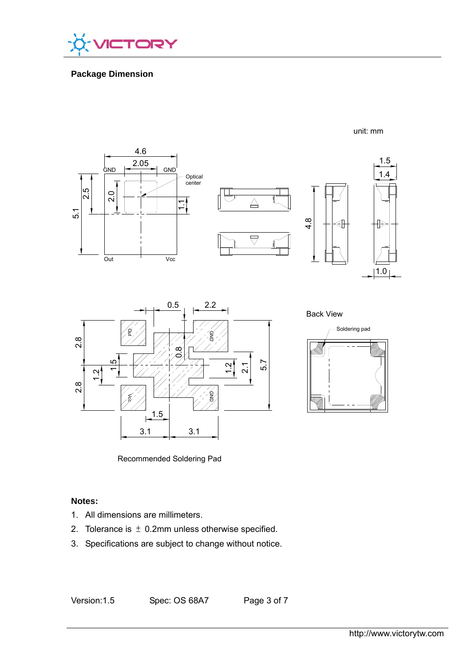

# **Package Dimension**





Back View



unit: mm

Recommended Soldering Pad

## **Notes:**

- 1. All dimensions are millimeters.
- 2. Tolerance is  $\pm$  0.2mm unless otherwise specified.
- 3. Specifications are subject to change without notice.

Version: 1.5 Spec: OS 68A7 Page 3 of 7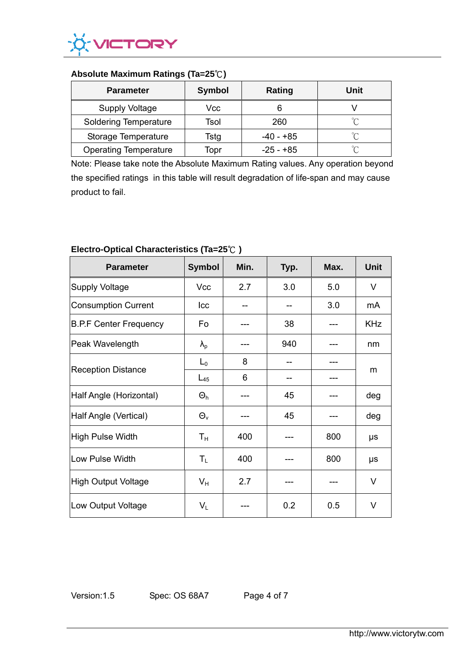

## **Absolute Maximum Ratings (Ta=25**℃**)**

| <b>Parameter</b>             | <b>Symbol</b> | Rating      | Unit |
|------------------------------|---------------|-------------|------|
| <b>Supply Voltage</b>        | Vcc           |             |      |
| <b>Soldering Temperature</b> | Tsol          | 260         | ∽    |
| Storage Temperature          | Tstg          | -40 - +85   | ∽    |
| <b>Operating Temperature</b> | Topr          | $-25 - +85$ | °∩   |

Note: Please take note the Absolute Maximum Rating values. Any operation beyond the specified ratings in this table will result degradation of life-span and may cause product to fail.

| <b>Parameter</b>              | <b>Symbol</b>     | Min. | Typ. | Max. | <b>Unit</b> |
|-------------------------------|-------------------|------|------|------|-------------|
| Supply Voltage                | Vcc               | 2.7  | 3.0  | 5.0  | V           |
| Consumption Current           | Icc               |      |      | 3.0  | mA          |
| <b>B.P.F Center Frequency</b> | Fo                |      | 38   |      | <b>KHz</b>  |
| Peak Wavelength               | $\lambda_{\rm p}$ |      | 940  |      | nm          |
| <b>Reception Distance</b>     | $L_0$             | 8    |      |      | m           |
|                               | $L_{45}$          | 6    |      |      |             |
| Half Angle (Horizontal)       | $\Theta_h$        |      | 45   |      | deg         |
| Half Angle (Vertical)         | $\Theta_{v}$      |      | 45   |      | deg         |
| High Pulse Width              | $T_{\rm H}$       | 400  |      | 800  | μs          |
| Low Pulse Width               | $T_{L}$           | 400  |      | 800  | μs          |
| High Output Voltage           | $V_{H}$           | 2.7  |      |      | V           |
| Low Output Voltage            | $V_L$             |      | 0.2  | 0.5  | $\vee$      |

# **Electro-Optical Characteristics (Ta=25**℃ **)**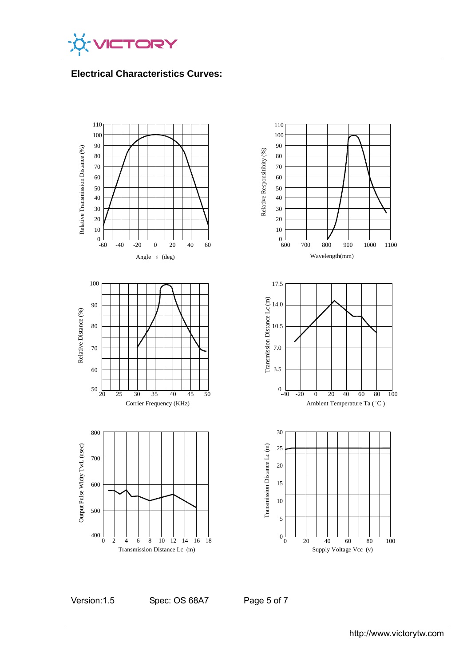

**Electrical Characteristics Curves:** 



Version:1.5 Spec: OS 68A7 Page 5 of 7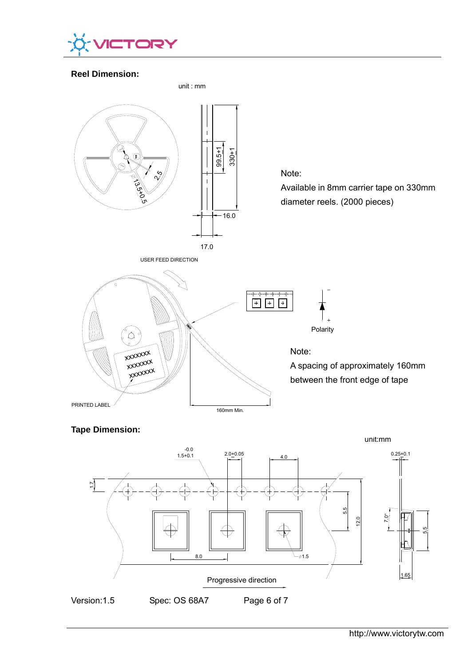

### **Reel Dimension:**



**Tape Dimension:**